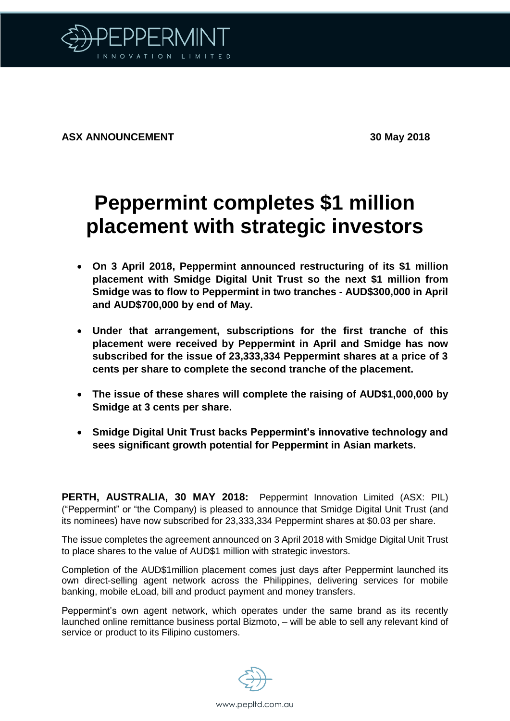

**ASX ANNOUNCEMENT 30 May 2018**

## **Peppermint completes \$1 million placement with strategic investors**

- **On 3 April 2018, Peppermint announced restructuring of its \$1 million placement with Smidge Digital Unit Trust so the next \$1 million from Smidge was to flow to Peppermint in two tranches - AUD\$300,000 in April and AUD\$700,000 by end of May.**
- **Under that arrangement, subscriptions for the first tranche of this placement were received by Peppermint in April and Smidge has now subscribed for the issue of 23,333,334 Peppermint shares at a price of 3 cents per share to complete the second tranche of the placement.**
- **The issue of these shares will complete the raising of AUD\$1,000,000 by Smidge at 3 cents per share.**
- **Smidge Digital Unit Trust backs Peppermint's innovative technology and sees significant growth potential for Peppermint in Asian markets.**

**PERTH, AUSTRALIA, 30 MAY 2018:** Peppermint Innovation Limited (ASX: PIL) ("Peppermint" or "the Company) is pleased to announce that Smidge Digital Unit Trust (and its nominees) have now subscribed for 23,333,334 Peppermint shares at \$0.03 per share.

The issue completes the agreement announced on 3 April 2018 with Smidge Digital Unit Trust to place shares to the value of AUD\$1 million with strategic investors.

Completion of the AUD\$1million placement comes just days after Peppermint launched its own direct-selling agent network across the Philippines, delivering services for mobile banking, mobile eLoad, bill and product payment and money transfers.

Peppermint's own agent network, which operates under the same brand as its recently launched online remittance business portal Bizmoto, – will be able to sell any relevant kind of service or product to its Filipino customers.